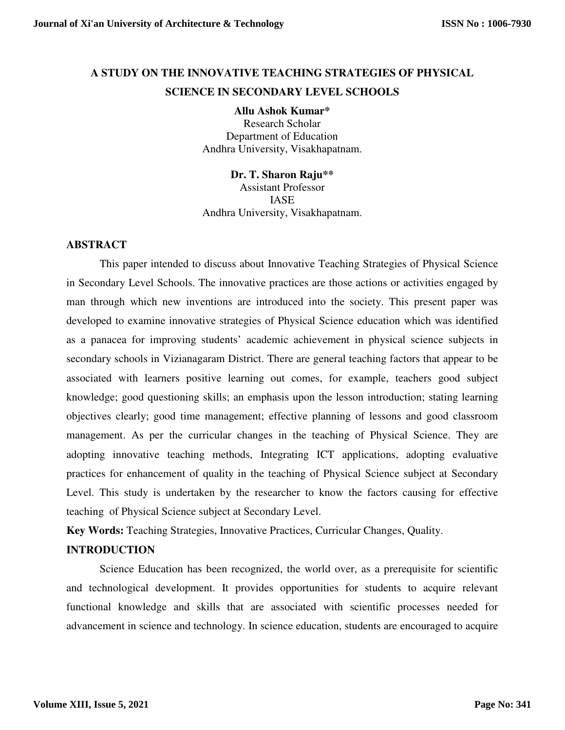# **A STUDY ON THE INNOVATIVE TEACHING STRATEGIES OF PHYSICAL SCIENCE IN SECONDARY LEVEL SCHOOLS**

**Allu Ashok Kumar\*** 

Research Scholar Department of Education Andhra University, Visakhapatnam.

**Dr. T. Sharon Raju\*\***  Assistant Professor IASE Andhra University, Visakhapatnam.

## **ABSTRACT**

This paper intended to discuss about Innovative Teaching Strategies of Physical Science in Secondary Level Schools. The innovative practices are those actions or activities engaged by man through which new inventions are introduced into the society. This present paper was developed to examine innovative strategies of Physical Science education which was identified as a panacea for improving students' academic achievement in physical science subjects in secondary schools in Vizianagaram District. There are general teaching factors that appear to be associated with learners positive learning out comes, for example, teachers good subject knowledge; good questioning skills; an emphasis upon the lesson introduction; stating learning objectives clearly; good time management; effective planning of lessons and good classroom management. As per the curricular changes in the teaching of Physical Science. They are adopting innovative teaching methods, Integrating ICT applications, adopting evaluative practices for enhancement of quality in the teaching of Physical Science subject at Secondary Level. This study is undertaken by the researcher to know the factors causing for effective teaching of Physical Science subject at Secondary Level.

**Key Words:** Teaching Strategies, Innovative Practices, Curricular Changes, Quality.

# **INTRODUCTION**

Science Education has been recognized, the world over, as a prerequisite for scientific and technological development. It provides opportunities for students to acquire relevant functional knowledge and skills that are associated with scientific processes needed for advancement in science and technology. In science education, students are encouraged to acquire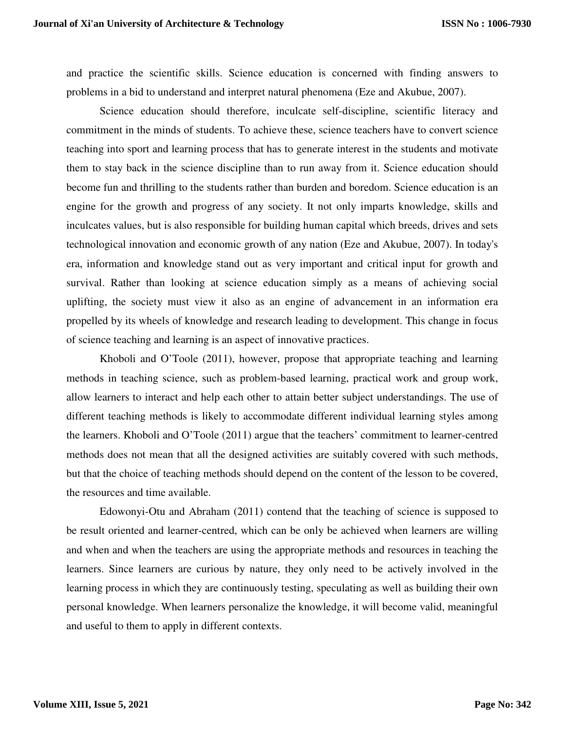and practice the scientific skills. Science education is concerned with finding answers to problems in a bid to understand and interpret natural phenomena (Eze and Akubue, 2007).

Science education should therefore, inculcate self-discipline, scientific literacy and commitment in the minds of students. To achieve these, science teachers have to convert science teaching into sport and learning process that has to generate interest in the students and motivate them to stay back in the science discipline than to run away from it. Science education should become fun and thrilling to the students rather than burden and boredom. Science education is an engine for the growth and progress of any society. It not only imparts knowledge, skills and inculcates values, but is also responsible for building human capital which breeds, drives and sets technological innovation and economic growth of any nation (Eze and Akubue, 2007). In today's era, information and knowledge stand out as very important and critical input for growth and survival. Rather than looking at science education simply as a means of achieving social uplifting, the society must view it also as an engine of advancement in an information era propelled by its wheels of knowledge and research leading to development. This change in focus of science teaching and learning is an aspect of innovative practices.

Khoboli and O'Toole (2011), however, propose that appropriate teaching and learning methods in teaching science, such as problem-based learning, practical work and group work, allow learners to interact and help each other to attain better subject understandings. The use of different teaching methods is likely to accommodate different individual learning styles among the learners. Khoboli and O'Toole (2011) argue that the teachers' commitment to learner-centred methods does not mean that all the designed activities are suitably covered with such methods, but that the choice of teaching methods should depend on the content of the lesson to be covered, the resources and time available.

Edowonyi-Otu and Abraham (2011) contend that the teaching of science is supposed to be result oriented and learner-centred, which can be only be achieved when learners are willing and when and when the teachers are using the appropriate methods and resources in teaching the learners. Since learners are curious by nature, they only need to be actively involved in the learning process in which they are continuously testing, speculating as well as building their own personal knowledge. When learners personalize the knowledge, it will become valid, meaningful and useful to them to apply in different contexts.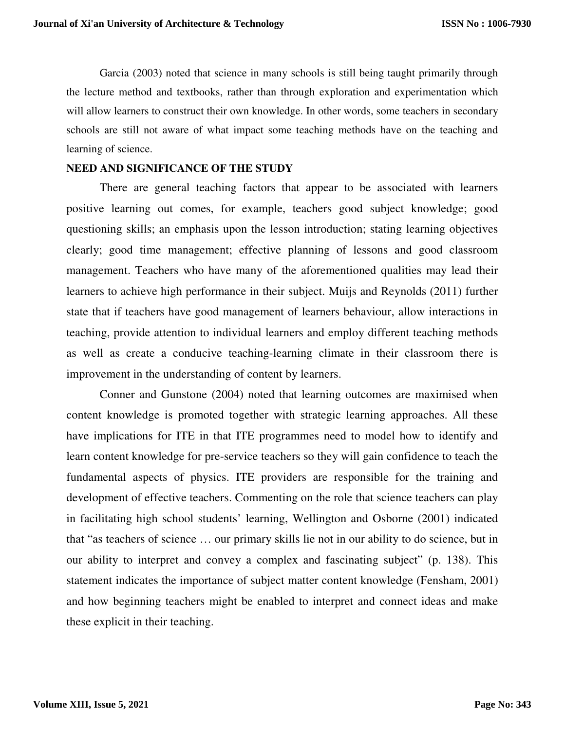Garcia (2003) noted that science in many schools is still being taught primarily through the lecture method and textbooks, rather than through exploration and experimentation which will allow learners to construct their own knowledge. In other words, some teachers in secondary schools are still not aware of what impact some teaching methods have on the teaching and learning of science.

# **NEED AND SIGNIFICANCE OF THE STUDY**

There are general teaching factors that appear to be associated with learners positive learning out comes, for example, teachers good subject knowledge; good questioning skills; an emphasis upon the lesson introduction; stating learning objectives clearly; good time management; effective planning of lessons and good classroom management. Teachers who have many of the aforementioned qualities may lead their learners to achieve high performance in their subject. Muijs and Reynolds (2011) further state that if teachers have good management of learners behaviour, allow interactions in teaching, provide attention to individual learners and employ different teaching methods as well as create a conducive teaching-learning climate in their classroom there is improvement in the understanding of content by learners.

Conner and Gunstone (2004) noted that learning outcomes are maximised when content knowledge is promoted together with strategic learning approaches. All these have implications for ITE in that ITE programmes need to model how to identify and learn content knowledge for pre-service teachers so they will gain confidence to teach the fundamental aspects of physics. ITE providers are responsible for the training and development of effective teachers. Commenting on the role that science teachers can play in facilitating high school students' learning, Wellington and Osborne (2001) indicated that "as teachers of science … our primary skills lie not in our ability to do science, but in our ability to interpret and convey a complex and fascinating subject" (p. 138). This statement indicates the importance of subject matter content knowledge (Fensham, 2001) and how beginning teachers might be enabled to interpret and connect ideas and make these explicit in their teaching.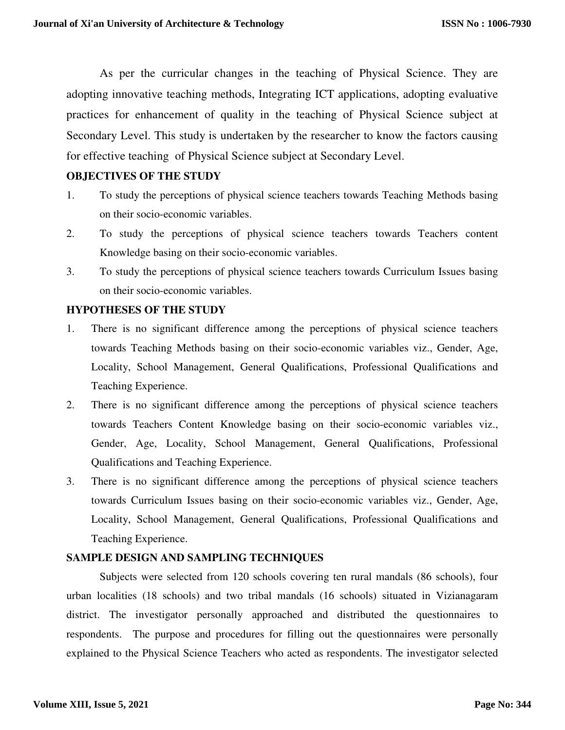As per the curricular changes in the teaching of Physical Science. They are adopting innovative teaching methods, Integrating ICT applications, adopting evaluative practices for enhancement of quality in the teaching of Physical Science subject at Secondary Level. This study is undertaken by the researcher to know the factors causing for effective teaching of Physical Science subject at Secondary Level.

#### **OBJECTIVES OF THE STUDY**

- 1. To study the perceptions of physical science teachers towards Teaching Methods basing on their socio-economic variables.
- 2. To study the perceptions of physical science teachers towards Teachers content Knowledge basing on their socio-economic variables.
- 3. To study the perceptions of physical science teachers towards Curriculum Issues basing on their socio-economic variables.

#### **HYPOTHESES OF THE STUDY**

- 1. There is no significant difference among the perceptions of physical science teachers towards Teaching Methods basing on their socio-economic variables viz., Gender, Age, Locality, School Management, General Qualifications, Professional Qualifications and Teaching Experience.
- 2. There is no significant difference among the perceptions of physical science teachers towards Teachers Content Knowledge basing on their socio-economic variables viz., Gender, Age, Locality, School Management, General Qualifications, Professional Qualifications and Teaching Experience.
- 3. There is no significant difference among the perceptions of physical science teachers towards Curriculum Issues basing on their socio-economic variables viz., Gender, Age, Locality, School Management, General Qualifications, Professional Qualifications and Teaching Experience.

#### **SAMPLE DESIGN AND SAMPLING TECHNIQUES**

Subjects were selected from 120 schools covering ten rural mandals (86 schools), four urban localities (18 schools) and two tribal mandals (16 schools) situated in Vizianagaram district. The investigator personally approached and distributed the questionnaires to respondents. The purpose and procedures for filling out the questionnaires were personally explained to the Physical Science Teachers who acted as respondents. The investigator selected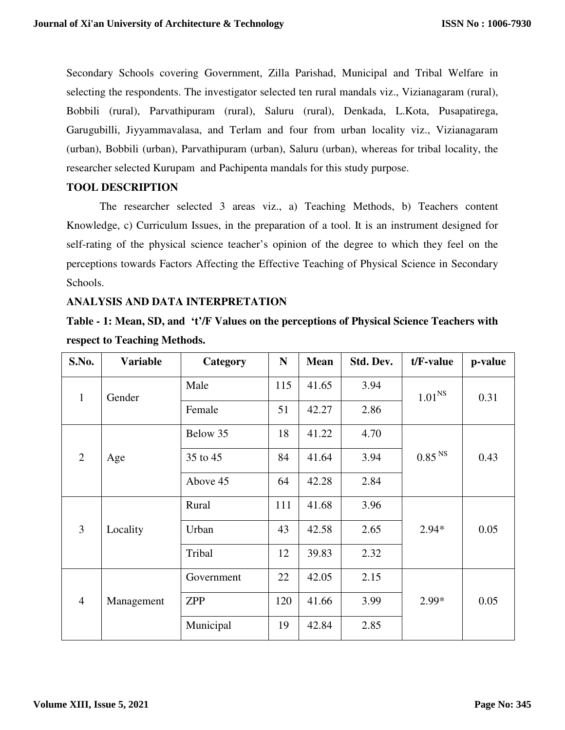Secondary Schools covering Government, Zilla Parishad, Municipal and Tribal Welfare in selecting the respondents. The investigator selected ten rural mandals viz., Vizianagaram (rural), Bobbili (rural), Parvathipuram (rural), Saluru (rural), Denkada, L.Kota, Pusapatirega, Garugubilli, Jiyyammavalasa, and Terlam and four from urban locality viz., Vizianagaram (urban), Bobbili (urban), Parvathipuram (urban), Saluru (urban), whereas for tribal locality, the researcher selected Kurupam and Pachipenta mandals for this study purpose.

#### **TOOL DESCRIPTION**

The researcher selected 3 areas viz., a) Teaching Methods, b) Teachers content Knowledge, c) Curriculum Issues, in the preparation of a tool. It is an instrument designed for self-rating of the physical science teacher's opinion of the degree to which they feel on the perceptions towards Factors Affecting the Effective Teaching of Physical Science in Secondary Schools.

#### **ANALYSIS AND DATA INTERPRETATION**

**Table - 1: Mean, SD, and 't'/F Values on the perceptions of Physical Science Teachers with respect to Teaching Methods.** 

| S.No.          | <b>Variable</b> | Category   | N   | <b>Mean</b> | Std. Dev. | t/F-value          | p-value |
|----------------|-----------------|------------|-----|-------------|-----------|--------------------|---------|
| $\mathbf{1}$   | Gender          | Male       | 115 | 41.65       | 3.94      | 1.01 <sup>NS</sup> | 0.31    |
|                |                 | Female     | 51  | 42.27       | 2.86      |                    |         |
|                | Age             | Below 35   | 18  | 41.22       | 4.70      |                    |         |
| $\overline{2}$ |                 | 35 to 45   | 84  | 41.64       | 3.94      | 0.85 <sup>NS</sup> | 0.43    |
|                |                 | Above 45   | 64  | 42.28       | 2.84      |                    |         |
| $\overline{3}$ | Locality        | Rural      | 111 | 41.68       | 3.96      |                    |         |
|                |                 | Urban      | 43  | 42.58       | 2.65      | $2.94*$            | 0.05    |
|                |                 | Tribal     | 12  | 39.83       | 2.32      |                    |         |
| $\overline{4}$ | Management      | Government | 22  | 42.05       | 2.15      |                    |         |
|                |                 | <b>ZPP</b> | 120 | 41.66       | 3.99      | $2.99*$            | 0.05    |
|                |                 | Municipal  | 19  | 42.84       | 2.85      |                    |         |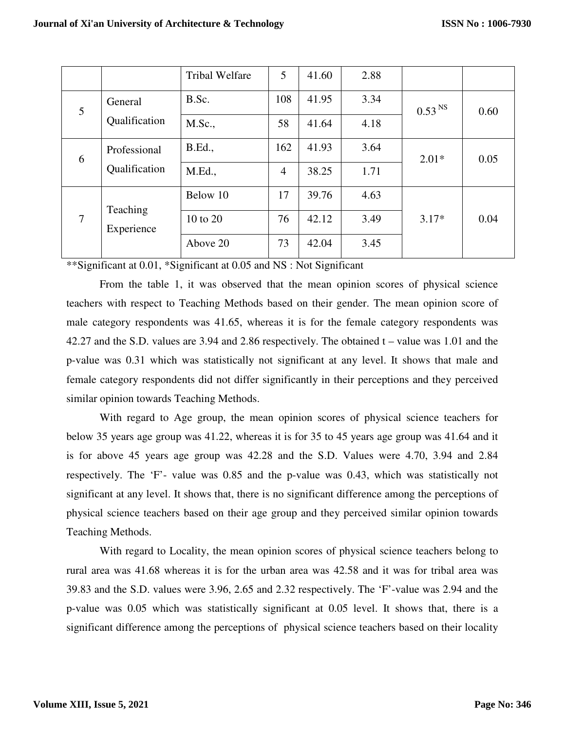|                |                               | <b>Tribal Welfare</b> | 5              | 41.60 | 2.88 |                    |      |
|----------------|-------------------------------|-----------------------|----------------|-------|------|--------------------|------|
| 5              | General<br>Qualification      | B.Sc.                 | 108            | 41.95 | 3.34 | 0.53 <sup>NS</sup> | 0.60 |
|                |                               | M.Sc.,                | 58             | 41.64 | 4.18 |                    |      |
| 6              | Professional<br>Qualification | <b>B.Ed.,</b>         | 162            | 41.93 | 3.64 | $2.01*$            | 0.05 |
|                |                               | M.Ed.,                | $\overline{4}$ | 38.25 | 1.71 |                    |      |
| $\overline{7}$ | Teaching<br>Experience        | Below 10              | 17             | 39.76 | 4.63 |                    |      |
|                |                               | 10 to 20              | 76             | 42.12 | 3.49 | $3.17*$            | 0.04 |
|                |                               | Above 20              | 73             | 42.04 | 3.45 |                    |      |

\*\*Significant at 0.01, \*Significant at 0.05 and NS : Not Significant

From the table 1, it was observed that the mean opinion scores of physical science teachers with respect to Teaching Methods based on their gender. The mean opinion score of male category respondents was 41.65, whereas it is for the female category respondents was 42.27 and the S.D. values are 3.94 and 2.86 respectively. The obtained t – value was 1.01 and the p-value was 0.31 which was statistically not significant at any level. It shows that male and female category respondents did not differ significantly in their perceptions and they perceived similar opinion towards Teaching Methods.

With regard to Age group, the mean opinion scores of physical science teachers for below 35 years age group was 41.22, whereas it is for 35 to 45 years age group was 41.64 and it is for above 45 years age group was 42.28 and the S.D. Values were 4.70, 3.94 and 2.84 respectively. The 'F'- value was 0.85 and the p-value was 0.43, which was statistically not significant at any level. It shows that, there is no significant difference among the perceptions of physical science teachers based on their age group and they perceived similar opinion towards Teaching Methods.

With regard to Locality, the mean opinion scores of physical science teachers belong to rural area was 41.68 whereas it is for the urban area was 42.58 and it was for tribal area was 39.83 and the S.D. values were 3.96, 2.65 and 2.32 respectively. The 'F'-value was 2.94 and the p-value was 0.05 which was statistically significant at 0.05 level. It shows that, there is a significant difference among the perceptions of physical science teachers based on their locality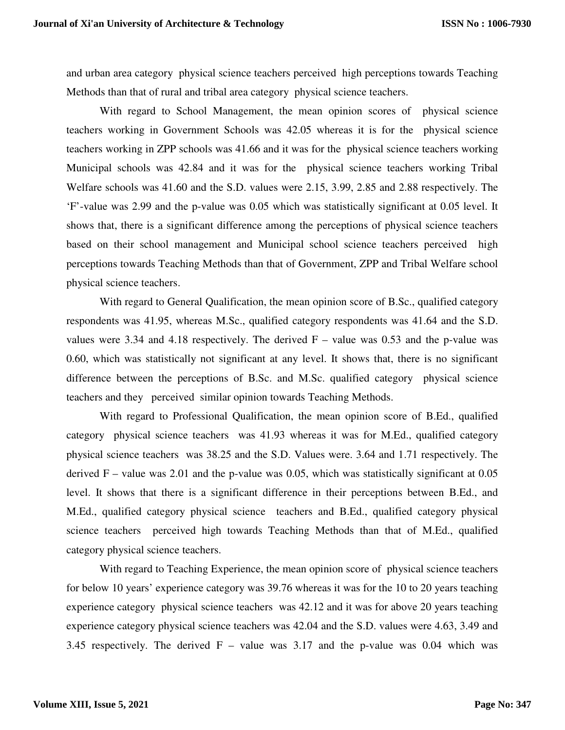and urban area category physical science teachers perceived high perceptions towards Teaching Methods than that of rural and tribal area category physical science teachers.

With regard to School Management, the mean opinion scores of physical science teachers working in Government Schools was 42.05 whereas it is for the physical science teachers working in ZPP schools was 41.66 and it was for the physical science teachers working Municipal schools was 42.84 and it was for the physical science teachers working Tribal Welfare schools was 41.60 and the S.D. values were 2.15, 3.99, 2.85 and 2.88 respectively. The 'F'-value was 2.99 and the p-value was 0.05 which was statistically significant at 0.05 level. It shows that, there is a significant difference among the perceptions of physical science teachers based on their school management and Municipal school science teachers perceived high perceptions towards Teaching Methods than that of Government, ZPP and Tribal Welfare school physical science teachers.

With regard to General Qualification, the mean opinion score of B.Sc., qualified category respondents was 41.95, whereas M.Sc., qualified category respondents was 41.64 and the S.D. values were 3.34 and 4.18 respectively. The derived  $F -$  value was 0.53 and the p-value was 0.60, which was statistically not significant at any level. It shows that, there is no significant difference between the perceptions of B.Sc. and M.Sc. qualified category physical science teachers and they perceived similar opinion towards Teaching Methods.

With regard to Professional Qualification, the mean opinion score of B.Ed., qualified category physical science teachers was 41.93 whereas it was for M.Ed., qualified category physical science teachers was 38.25 and the S.D. Values were. 3.64 and 1.71 respectively. The derived  $F -$  value was 2.01 and the p-value was 0.05, which was statistically significant at 0.05 level. It shows that there is a significant difference in their perceptions between B.Ed., and M.Ed., qualified category physical science teachers and B.Ed., qualified category physical science teachers perceived high towards Teaching Methods than that of M.Ed., qualified category physical science teachers.

With regard to Teaching Experience, the mean opinion score of physical science teachers for below 10 years' experience category was 39.76 whereas it was for the 10 to 20 years teaching experience category physical science teachers was 42.12 and it was for above 20 years teaching experience category physical science teachers was 42.04 and the S.D. values were 4.63, 3.49 and 3.45 respectively. The derived  $F -$  value was 3.17 and the p-value was 0.04 which was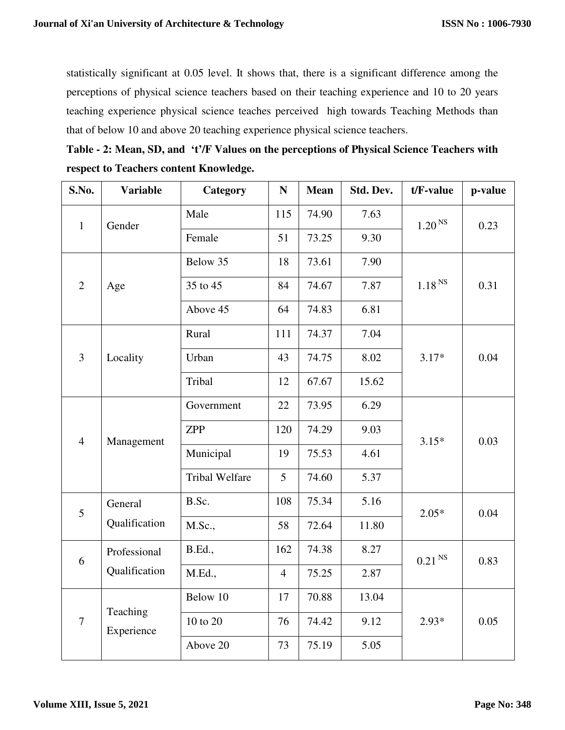statistically significant at 0.05 level. It shows that, there is a significant difference among the perceptions of physical science teachers based on their teaching experience and 10 to 20 years teaching experience physical science teaches perceived high towards Teaching Methods than that of below 10 and above 20 teaching experience physical science teachers.

**Table - 2: Mean, SD, and 't'/F Values on the perceptions of Physical Science Teachers with respect to Teachers content Knowledge.** 

| S.No.          | <b>Variable</b>               | Category              | ${\bf N}$      | <b>Mean</b> | Std. Dev. | t/F-value            | p-value |
|----------------|-------------------------------|-----------------------|----------------|-------------|-----------|----------------------|---------|
| $\mathbf{1}$   | Gender                        | Male                  | 115            | 74.90       | 7.63      | $1.20^{\rm \, NS}$   | 0.23    |
|                |                               | Female                | 51             | 73.25       | 9.30      |                      |         |
|                | Age                           | Below 35              | 18             | 73.61       | 7.90      | $1.18$ $^{\rm NS}$   | 0.31    |
| $\overline{2}$ |                               | 35 to 45              | 84             | 74.67       | 7.87      |                      |         |
|                |                               | Above 45              | 64             | 74.83       | 6.81      |                      |         |
|                |                               | Rural                 | 111            | 74.37       | 7.04      |                      | 0.04    |
| $\overline{3}$ | Locality                      | Urban                 | 43             | 74.75       | 8.02      | $3.17*$              |         |
|                |                               | Tribal                | 12             | 67.67       | 15.62     |                      |         |
| $\overline{4}$ | Management                    | Government            | 22             | 73.95       | 6.29      | $3.15*$              | 0.03    |
|                |                               | <b>ZPP</b>            | 120            | 74.29       | 9.03      |                      |         |
|                |                               | Municipal             | 19             | 75.53       | 4.61      |                      |         |
|                |                               | <b>Tribal Welfare</b> | 5              | 74.60       | 5.37      |                      |         |
| 5              | General<br>Qualification      | B.Sc.                 | 108            | 75.34       | 5.16      | $2.05*$              | 0.04    |
|                |                               | M.Sc.,                | 58             | 72.64       | 11.80     |                      |         |
| 6              | Professional<br>Qualification | <b>B.Ed.,</b>         | 162            | 74.38       | 8.27      | $0.21$ <sup>NS</sup> | 0.83    |
|                |                               | M.Ed.,                | $\overline{4}$ | 75.25       | 2.87      |                      |         |
| $\overline{7}$ | Teaching<br>Experience        | Below 10              | 17             | 70.88       | 13.04     |                      |         |
|                |                               | 10 to 20              | 76             | 74.42       | 9.12      | $2.93*$              | 0.05    |
|                |                               | Above 20              | 73             | 75.19       | 5.05      |                      |         |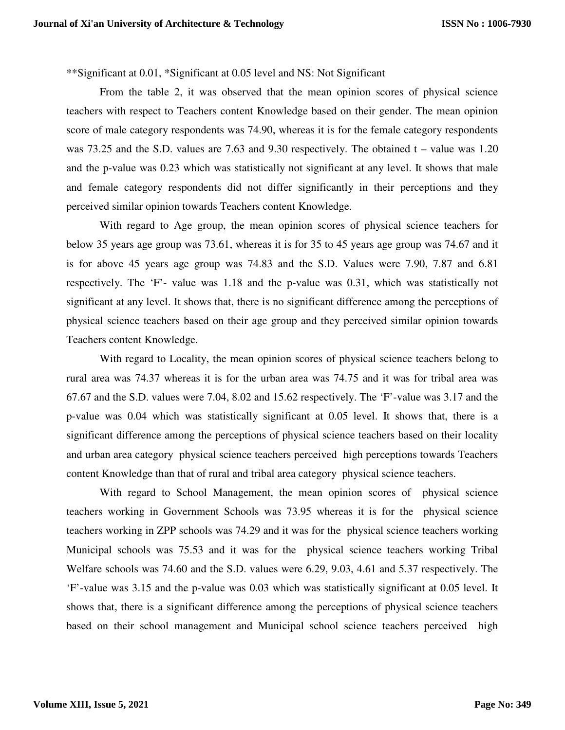\*\*Significant at 0.01, \*Significant at 0.05 level and NS: Not Significant

From the table 2, it was observed that the mean opinion scores of physical science teachers with respect to Teachers content Knowledge based on their gender. The mean opinion score of male category respondents was 74.90, whereas it is for the female category respondents was 73.25 and the S.D. values are 7.63 and 9.30 respectively. The obtained t – value was 1.20 and the p-value was 0.23 which was statistically not significant at any level. It shows that male and female category respondents did not differ significantly in their perceptions and they perceived similar opinion towards Teachers content Knowledge.

With regard to Age group, the mean opinion scores of physical science teachers for below 35 years age group was 73.61, whereas it is for 35 to 45 years age group was 74.67 and it is for above 45 years age group was 74.83 and the S.D. Values were 7.90, 7.87 and 6.81 respectively. The 'F'- value was 1.18 and the p-value was 0.31, which was statistically not significant at any level. It shows that, there is no significant difference among the perceptions of physical science teachers based on their age group and they perceived similar opinion towards Teachers content Knowledge.

With regard to Locality, the mean opinion scores of physical science teachers belong to rural area was 74.37 whereas it is for the urban area was 74.75 and it was for tribal area was 67.67 and the S.D. values were 7.04, 8.02 and 15.62 respectively. The 'F'-value was 3.17 and the p-value was 0.04 which was statistically significant at 0.05 level. It shows that, there is a significant difference among the perceptions of physical science teachers based on their locality and urban area category physical science teachers perceived high perceptions towards Teachers content Knowledge than that of rural and tribal area category physical science teachers.

With regard to School Management, the mean opinion scores of physical science teachers working in Government Schools was 73.95 whereas it is for the physical science teachers working in ZPP schools was 74.29 and it was for the physical science teachers working Municipal schools was 75.53 and it was for the physical science teachers working Tribal Welfare schools was 74.60 and the S.D. values were 6.29, 9.03, 4.61 and 5.37 respectively. The 'F'-value was 3.15 and the p-value was 0.03 which was statistically significant at 0.05 level. It shows that, there is a significant difference among the perceptions of physical science teachers based on their school management and Municipal school science teachers perceived high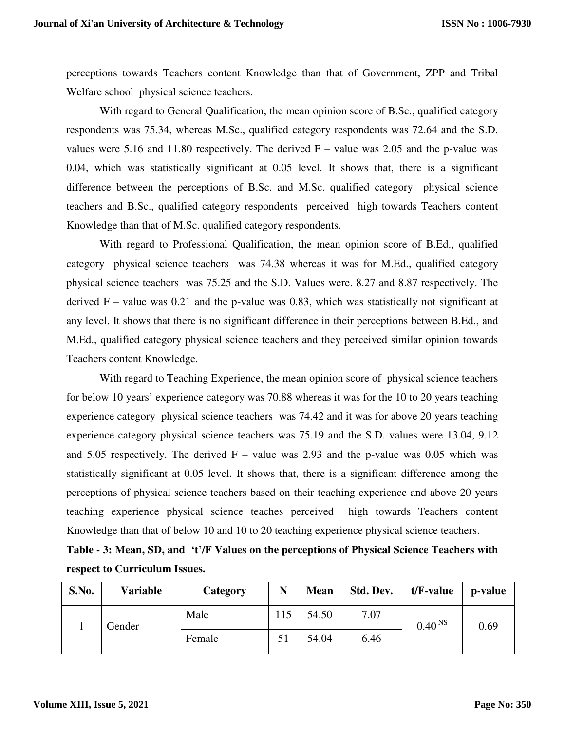perceptions towards Teachers content Knowledge than that of Government, ZPP and Tribal Welfare school physical science teachers.

With regard to General Qualification, the mean opinion score of B.Sc., qualified category respondents was 75.34, whereas M.Sc., qualified category respondents was 72.64 and the S.D. values were 5.16 and 11.80 respectively. The derived  $F -$  value was 2.05 and the p-value was 0.04, which was statistically significant at 0.05 level. It shows that, there is a significant difference between the perceptions of B.Sc. and M.Sc. qualified category physical science teachers and B.Sc., qualified category respondents perceived high towards Teachers content Knowledge than that of M.Sc. qualified category respondents.

With regard to Professional Qualification, the mean opinion score of B.Ed., qualified category physical science teachers was 74.38 whereas it was for M.Ed., qualified category physical science teachers was 75.25 and the S.D. Values were. 8.27 and 8.87 respectively. The derived  $F -$  value was 0.21 and the p-value was 0.83, which was statistically not significant at any level. It shows that there is no significant difference in their perceptions between B.Ed., and M.Ed., qualified category physical science teachers and they perceived similar opinion towards Teachers content Knowledge.

With regard to Teaching Experience, the mean opinion score of physical science teachers for below 10 years' experience category was 70.88 whereas it was for the 10 to 20 years teaching experience category physical science teachers was 74.42 and it was for above 20 years teaching experience category physical science teachers was 75.19 and the S.D. values were 13.04, 9.12 and 5.05 respectively. The derived  $F -$  value was 2.93 and the p-value was 0.05 which was statistically significant at 0.05 level. It shows that, there is a significant difference among the perceptions of physical science teachers based on their teaching experience and above 20 years teaching experience physical science teaches perceived high towards Teachers content Knowledge than that of below 10 and 10 to 20 teaching experience physical science teachers.

**Table - 3: Mean, SD, and 't'/F Values on the perceptions of Physical Science Teachers with respect to Curriculum Issues.** 

| S.No. | <b>Variable</b> | Category | N   | <b>Mean</b> | Std. Dev. | $t/F$ -value       | p-value |
|-------|-----------------|----------|-----|-------------|-----------|--------------------|---------|
|       | Gender          | Male     | 115 | 54.50       | 7.07      | 0.40 <sup>NS</sup> | 0.69    |
|       |                 | Female   | 51  | 54.04       | 6.46      |                    |         |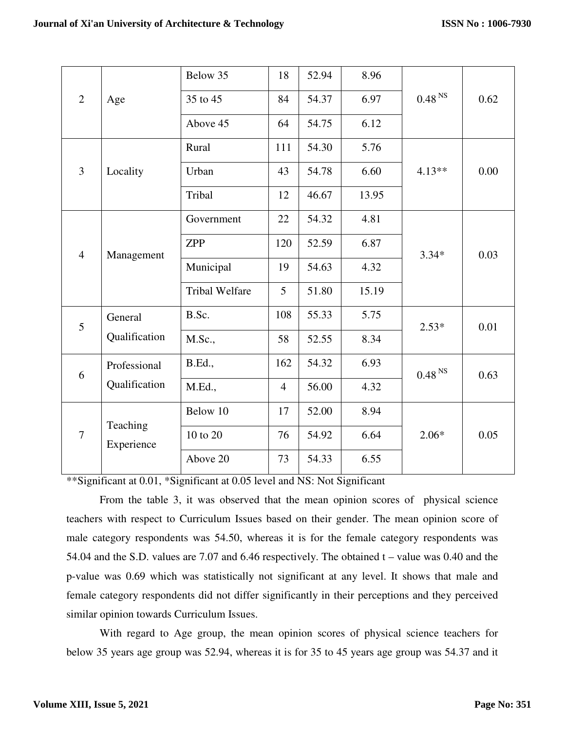| $\overline{2}$ | Age                           | Below 35              | 18             | 52.94 | 8.96  |                    |      |
|----------------|-------------------------------|-----------------------|----------------|-------|-------|--------------------|------|
|                |                               | 35 to 45              | 84             | 54.37 | 6.97  | $0.48^{\rm \, NS}$ | 0.62 |
|                |                               | Above 45              | 64             | 54.75 | 6.12  |                    |      |
|                |                               | Rural                 | 111            | 54.30 | 5.76  |                    |      |
| $\overline{3}$ | Locality                      | Urban                 | 43             | 54.78 | 6.60  | $4.13**$           | 0.00 |
|                |                               | Tribal                | 12             | 46.67 | 13.95 |                    |      |
| $\overline{4}$ | Management                    | Government            | 22             | 54.32 | 4.81  |                    |      |
|                |                               | <b>ZPP</b>            | 120            | 52.59 | 6.87  | $3.34*$            | 0.03 |
|                |                               | Municipal             | 19             | 54.63 | 4.32  |                    |      |
|                |                               | <b>Tribal Welfare</b> | 5              | 51.80 | 15.19 |                    |      |
| 5              | General<br>Qualification      | B.Sc.                 | 108            | 55.33 | 5.75  | $2.53*$            | 0.01 |
|                |                               | M.Sc.,                | 58             | 52.55 | 8.34  |                    |      |
| 6              | Professional<br>Qualification | <b>B.Ed.,</b>         | 162            | 54.32 | 6.93  | 0.48 <sup>NS</sup> | 0.63 |
|                |                               | M.Ed.,                | $\overline{4}$ | 56.00 | 4.32  |                    |      |
| $\overline{7}$ | Teaching<br>Experience        | Below 10              | 17             | 52.00 | 8.94  |                    |      |
|                |                               | 10 to 20              | 76             | 54.92 | 6.64  | $2.06*$            | 0.05 |
|                |                               | Above 20              | 73             | 54.33 | 6.55  |                    |      |

\*\*Significant at 0.01, \*Significant at 0.05 level and NS: Not Significant

From the table 3, it was observed that the mean opinion scores of physical science teachers with respect to Curriculum Issues based on their gender. The mean opinion score of male category respondents was 54.50, whereas it is for the female category respondents was 54.04 and the S.D. values are 7.07 and 6.46 respectively. The obtained t – value was 0.40 and the p-value was 0.69 which was statistically not significant at any level. It shows that male and female category respondents did not differ significantly in their perceptions and they perceived similar opinion towards Curriculum Issues.

With regard to Age group, the mean opinion scores of physical science teachers for below 35 years age group was 52.94, whereas it is for 35 to 45 years age group was 54.37 and it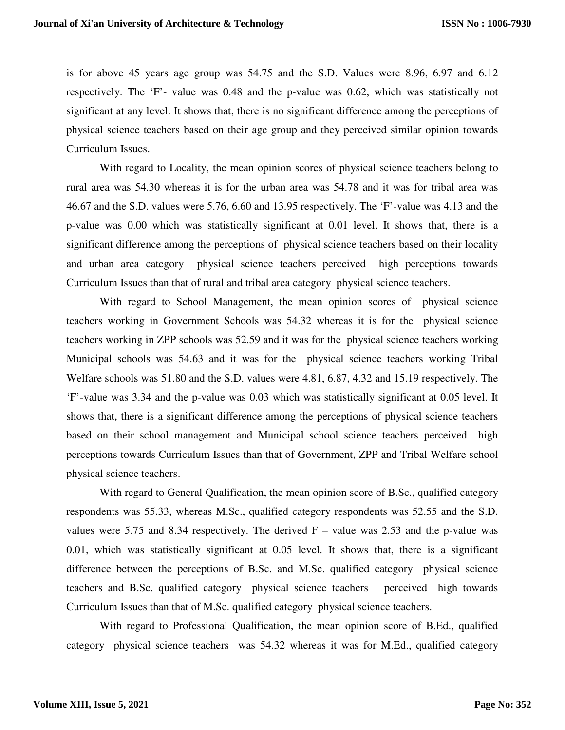is for above 45 years age group was 54.75 and the S.D. Values were 8.96, 6.97 and 6.12 respectively. The 'F'- value was 0.48 and the p-value was 0.62, which was statistically not significant at any level. It shows that, there is no significant difference among the perceptions of physical science teachers based on their age group and they perceived similar opinion towards Curriculum Issues.

With regard to Locality, the mean opinion scores of physical science teachers belong to rural area was 54.30 whereas it is for the urban area was 54.78 and it was for tribal area was 46.67 and the S.D. values were 5.76, 6.60 and 13.95 respectively. The 'F'-value was 4.13 and the p-value was 0.00 which was statistically significant at 0.01 level. It shows that, there is a significant difference among the perceptions of physical science teachers based on their locality and urban area category physical science teachers perceived high perceptions towards Curriculum Issues than that of rural and tribal area category physical science teachers.

With regard to School Management, the mean opinion scores of physical science teachers working in Government Schools was 54.32 whereas it is for the physical science teachers working in ZPP schools was 52.59 and it was for the physical science teachers working Municipal schools was 54.63 and it was for the physical science teachers working Tribal Welfare schools was 51.80 and the S.D. values were 4.81, 6.87, 4.32 and 15.19 respectively. The 'F'-value was 3.34 and the p-value was 0.03 which was statistically significant at 0.05 level. It shows that, there is a significant difference among the perceptions of physical science teachers based on their school management and Municipal school science teachers perceived high perceptions towards Curriculum Issues than that of Government, ZPP and Tribal Welfare school physical science teachers.

With regard to General Qualification, the mean opinion score of B.Sc., qualified category respondents was 55.33, whereas M.Sc., qualified category respondents was 52.55 and the S.D. values were 5.75 and 8.34 respectively. The derived  $F -$  value was 2.53 and the p-value was 0.01, which was statistically significant at 0.05 level. It shows that, there is a significant difference between the perceptions of B.Sc. and M.Sc. qualified category physical science teachers and B.Sc. qualified category physical science teachers perceived high towards Curriculum Issues than that of M.Sc. qualified category physical science teachers.

With regard to Professional Qualification, the mean opinion score of B.Ed., qualified category physical science teachers was 54.32 whereas it was for M.Ed., qualified category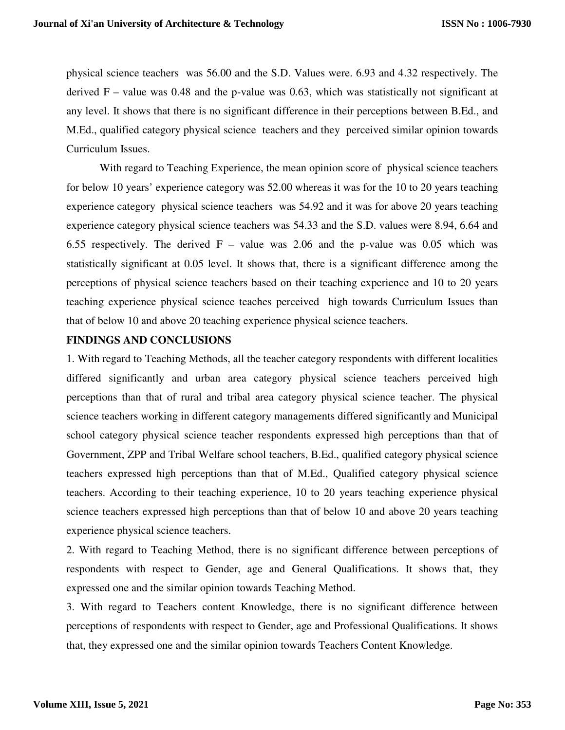physical science teachers was 56.00 and the S.D. Values were. 6.93 and 4.32 respectively. The derived  $F -$  value was 0.48 and the p-value was 0.63, which was statistically not significant at any level. It shows that there is no significant difference in their perceptions between B.Ed., and M.Ed., qualified category physical science teachers and they perceived similar opinion towards Curriculum Issues.

With regard to Teaching Experience, the mean opinion score of physical science teachers for below 10 years' experience category was 52.00 whereas it was for the 10 to 20 years teaching experience category physical science teachers was 54.92 and it was for above 20 years teaching experience category physical science teachers was 54.33 and the S.D. values were 8.94, 6.64 and 6.55 respectively. The derived  $F -$  value was 2.06 and the p-value was 0.05 which was statistically significant at 0.05 level. It shows that, there is a significant difference among the perceptions of physical science teachers based on their teaching experience and 10 to 20 years teaching experience physical science teaches perceived high towards Curriculum Issues than that of below 10 and above 20 teaching experience physical science teachers.

## **FINDINGS AND CONCLUSIONS**

1. With regard to Teaching Methods, all the teacher category respondents with different localities differed significantly and urban area category physical science teachers perceived high perceptions than that of rural and tribal area category physical science teacher. The physical science teachers working in different category managements differed significantly and Municipal school category physical science teacher respondents expressed high perceptions than that of Government, ZPP and Tribal Welfare school teachers, B.Ed., qualified category physical science teachers expressed high perceptions than that of M.Ed., Qualified category physical science teachers. According to their teaching experience, 10 to 20 years teaching experience physical science teachers expressed high perceptions than that of below 10 and above 20 years teaching experience physical science teachers.

2. With regard to Teaching Method, there is no significant difference between perceptions of respondents with respect to Gender, age and General Qualifications. It shows that, they expressed one and the similar opinion towards Teaching Method.

3. With regard to Teachers content Knowledge, there is no significant difference between perceptions of respondents with respect to Gender, age and Professional Qualifications. It shows that, they expressed one and the similar opinion towards Teachers Content Knowledge.